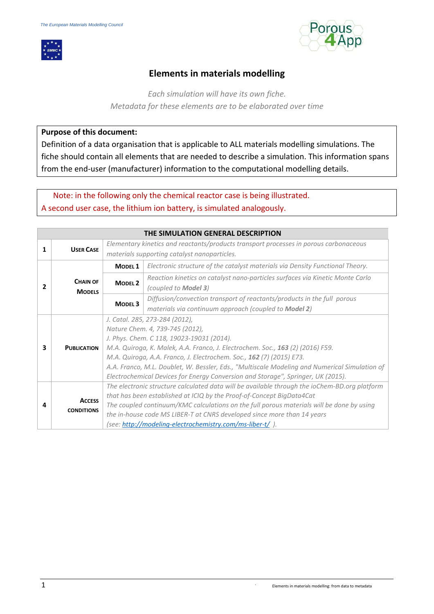



# **Elements in materials modelling**

*Each simulation will have its own fiche. Metadata for these elements are to be elaborated over time*

#### **Purpose of this document:**

Definition of a data organisation that is applicable to ALL materials modelling simulations. The fiche should contain all elements that are needed to describe a simulation. This information spans from the end-user (manufacturer) information to the computational modelling details.

 Note: in the following only the chemical reactor case is being illustrated. A second user case, the lithium ion battery, is simulated analogously.

|   | THE SIMULATION GENERAL DESCRIPTION |                                                                                               |                                                                                               |  |  |  |
|---|------------------------------------|-----------------------------------------------------------------------------------------------|-----------------------------------------------------------------------------------------------|--|--|--|
| 1 | <b>USER CASE</b>                   | Elementary kinetics and reactants/products transport processes in porous carbonaceous         |                                                                                               |  |  |  |
|   |                                    |                                                                                               | materials supporting catalyst nanoparticles.                                                  |  |  |  |
|   |                                    | MODEL <sub>1</sub>                                                                            | Electronic structure of the catalyst materials via Density Functional Theory.                 |  |  |  |
|   | <b>CHAIN OF</b>                    | <b>MODEL 2</b>                                                                                | Reaction kinetics on catalyst nano-particles surfaces via Kinetic Monte Carlo                 |  |  |  |
| 2 | <b>MODELS</b>                      |                                                                                               | (coupled to <b>Model 3</b> )                                                                  |  |  |  |
|   |                                    | MODEL <sub>3</sub>                                                                            | Diffusion/convection transport of reactants/products in the full porous                       |  |  |  |
|   |                                    |                                                                                               | materials via continuum approach (coupled to Model 2)                                         |  |  |  |
|   |                                    |                                                                                               | J. Catal. 285, 273-284 (2012),                                                                |  |  |  |
|   |                                    | Nature Chem. 4, 739-745 (2012),                                                               |                                                                                               |  |  |  |
|   |                                    | J. Phys. Chem. C 118, 19023-19031 (2014).                                                     |                                                                                               |  |  |  |
| 3 | <b>PUBLICATION</b>                 | M.A. Quiroga, K. Malek, A.A. Franco, J. Electrochem. Soc., 163 (2) (2016) F59.                |                                                                                               |  |  |  |
|   |                                    | M.A. Quiroga, A.A. Franco, J. Electrochem. Soc., 162 (7) (2015) E73.                          |                                                                                               |  |  |  |
|   |                                    | A.A. Franco, M.L. Doublet, W. Bessler, Eds., "Multiscale Modeling and Numerical Simulation of |                                                                                               |  |  |  |
|   |                                    |                                                                                               | Electrochemical Devices for Energy Conversion and Storage", Springer, UK (2015).              |  |  |  |
|   |                                    |                                                                                               | The electronic structure calculated data will be available through the ioChem-BD.org platform |  |  |  |
|   | <b>ACCESS</b>                      |                                                                                               | that has been established at ICIQ by the Proof-of-Concept BigData4Cat                         |  |  |  |
| 4 | <b>CONDITIONS</b>                  |                                                                                               | The coupled continuum/KMC calculations on the full porous materials will be done by using     |  |  |  |
|   |                                    |                                                                                               | the in-house code MS LIBER-T at CNRS developed since more than 14 years                       |  |  |  |
|   |                                    |                                                                                               | (see: http://modeling-electrochemistry.com/ms-liber-t/).                                      |  |  |  |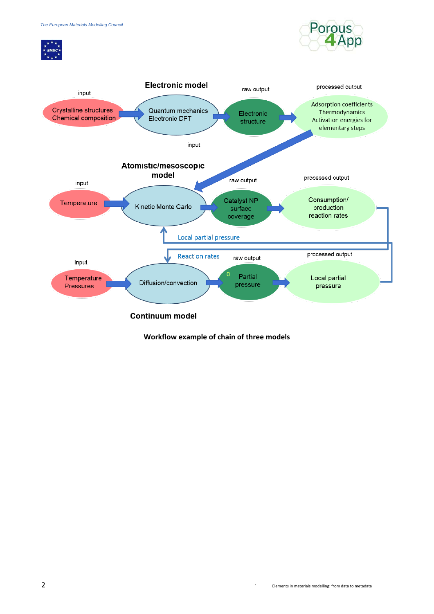





**Workflow example of chain of three models**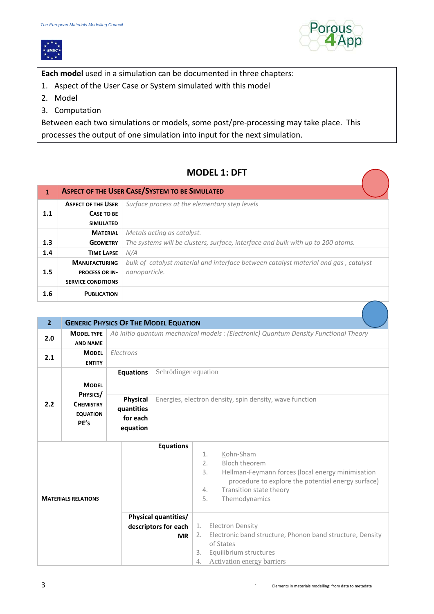



**Each model** used in a simulation can be documented in three chapters:

- 1. Aspect of the User Case or System simulated with this model
- 2. Model
- 3. Computation

Between each two simulations or models, some post/pre-processing may take place. This processes the output of one simulation into input for the next simulation.

# **MODEL 1: DFT**

| $\mathbf{1}$ | <b>ASPECT OF THE USER CASE/SYSTEM TO BE SIMULATED</b> |                                                                                     |  |  |
|--------------|-------------------------------------------------------|-------------------------------------------------------------------------------------|--|--|
|              | <b>ASPECT OF THE USER</b>                             | Surface process at the elementary step levels                                       |  |  |
| 1.1          | <b>CASE TO BE</b>                                     |                                                                                     |  |  |
|              | <b>SIMULATED</b>                                      |                                                                                     |  |  |
|              | <b>MATERIAL</b>                                       | Metals acting as catalyst.                                                          |  |  |
| 1.3          | <b>GEOMETRY</b>                                       | The systems will be clusters, surface, interface and bulk with up to 200 atoms.     |  |  |
| 1.4          | <b>TIME LAPSE</b>                                     | N/A                                                                                 |  |  |
|              | <b>MANUFACTURING</b>                                  | bulk of catalyst material and interface between catalyst material and gas, catalyst |  |  |
| 1.5          | <b>PROCESS OR IN-</b>                                 | nanoparticle.                                                                       |  |  |
|              | <b>SERVICE CONDITIONS</b>                             |                                                                                     |  |  |
| 1.6          | <b>PUBLICATION</b>                                    |                                                                                     |  |  |

| $\overline{2}$             |                                                         |                                                       | <b>GENERIC PHYSICS OF THE MODEL EQUATION</b>                                         |                                                                                                                                                                                                                                                                                                                            |  |  |
|----------------------------|---------------------------------------------------------|-------------------------------------------------------|--------------------------------------------------------------------------------------|----------------------------------------------------------------------------------------------------------------------------------------------------------------------------------------------------------------------------------------------------------------------------------------------------------------------------|--|--|
| 2.0                        | <b>MODEL TYPE</b><br><b>AND NAME</b>                    |                                                       | Ab initio quantum mechanical models : (Electronic) Quantum Density Functional Theory |                                                                                                                                                                                                                                                                                                                            |  |  |
| 2.1                        | <b>MODEL</b><br><b>ENTITY</b>                           | Electrons                                             |                                                                                      |                                                                                                                                                                                                                                                                                                                            |  |  |
|                            | <b>MODEL</b>                                            | <b>Equations</b>                                      | Schrödinger equation                                                                 |                                                                                                                                                                                                                                                                                                                            |  |  |
| 2.2                        | PHYSICS/<br><b>CHEMISTRY</b><br><b>EQUATION</b><br>PE's | <b>Physical</b><br>quantities<br>for each<br>equation |                                                                                      | Energies, electron density, spin density, wave function                                                                                                                                                                                                                                                                    |  |  |
| <b>MATERIALS RELATIONS</b> |                                                         |                                                       | <b>Equations</b><br>Physical quantities/<br>descriptors for each<br><b>MR</b>        | Kohn-Sham<br>1.<br><b>Bloch theorem</b><br>2.<br>3.<br>Hellman-Feymann forces (local energy minimisation<br>procedure to explore the potential energy surface)<br>Transition state theory<br>4.<br>5.<br>Themodynamics<br><b>Electron Density</b><br>1.<br>Electronic band structure, Phonon band structure, Density<br>2. |  |  |
|                            |                                                         |                                                       |                                                                                      | of States<br>Equilibrium structures<br>3.<br>4.<br>Activation energy barriers                                                                                                                                                                                                                                              |  |  |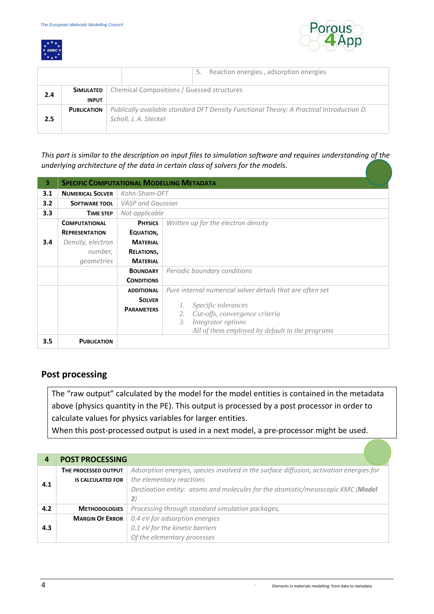



|     |                    | Reaction energies, adsorption energies<br>5.                                             |
|-----|--------------------|------------------------------------------------------------------------------------------|
| 2.4 | SIMULATED          | Chemical Compositions / Guessed structures                                               |
|     | <b>INPUT</b>       |                                                                                          |
|     | <b>PUBLICATION</b> | Publically available standard DFT Density Functional Theory: A Practical Introduction D. |
| 2.5 |                    | Scholl, J. A. Steckel                                                                    |
|     |                    |                                                                                          |

*This part is similar to the description on input files to simulation software and requires understanding of the underlying architecture of the data in certain class of solvers for the models.* 

| з   | <b>SPECIFIC COMPUTATIONAL MODELLING METADATA</b> |                          |                                                             |  |  |
|-----|--------------------------------------------------|--------------------------|-------------------------------------------------------------|--|--|
| 3.1 | <b>NUMERICAL SOLVER</b>                          |                          | Kohn-Sham-DFT                                               |  |  |
| 3.2 | <b>SOFTWARE TOOL</b>                             | <b>VASP</b> and Gaussian |                                                             |  |  |
| 3.3 | <b>TIME STEP</b>                                 | Not applicable           |                                                             |  |  |
|     | <b>COMPUTATIONAL</b>                             | <b>PHYSICS</b>           | Written up for the electron density                         |  |  |
|     | <b>REPRESENTATION</b>                            | EQUATION,                |                                                             |  |  |
| 3.4 | Density, electron                                | <b>MATERIAL</b>          |                                                             |  |  |
|     | number,                                          | <b>RELATIONS,</b>        |                                                             |  |  |
|     | geometries                                       | <b>MATERIAL</b>          |                                                             |  |  |
|     |                                                  | <b>BOUNDARY</b>          | Periodic boundary conditions                                |  |  |
|     |                                                  | <b>CONDITIONS</b>        |                                                             |  |  |
|     |                                                  | <b>ADDITIONAL</b>        | Pure internal numerical solver details that are often set   |  |  |
|     |                                                  | <b>SOLVER</b>            |                                                             |  |  |
|     |                                                  | <b>PARAMETERS</b>        | Specific tolerances<br>Cut-offs, convergence criteria<br>2. |  |  |
|     |                                                  |                          | Integrator options<br>3.                                    |  |  |
|     |                                                  |                          | All of them employed by default in the programs             |  |  |
| 3.5 | <b>PUBLICATION</b>                               |                          |                                                             |  |  |

### **Post processing**

The "raw output" calculated by the model for the model entities is contained in the metadata above (physics quantity in the PE). This output is processed by a post processor in order to calculate values for physics variables for larger entities.

When this post-processed output is used in a next model, a pre-processor might be used.

| 4   | <b>POST PROCESSING</b>   |                                                                                         |  |  |  |  |
|-----|--------------------------|-----------------------------------------------------------------------------------------|--|--|--|--|
|     | THE PROCESSED OUTPUT     | Adsorption energies, species involved in the surface diffusion, activation energies for |  |  |  |  |
| 4.1 | <b>IS CALCULATED FOR</b> | the elementary reactions                                                                |  |  |  |  |
|     |                          | Destination entity: atoms and molecules for the atomistic/mesoscopic KMC (Model         |  |  |  |  |
|     |                          | 2)                                                                                      |  |  |  |  |
| 4.2 | <b>METHODOLOGIES</b>     | Processing through standard simulation packages,                                        |  |  |  |  |
|     | <b>MARGIN OF ERROR</b>   | 0.4 eV for adsorption energies                                                          |  |  |  |  |
| 4.3 |                          | 0.1 eV for the kinetic barriers                                                         |  |  |  |  |
|     |                          | Of the elementary processes                                                             |  |  |  |  |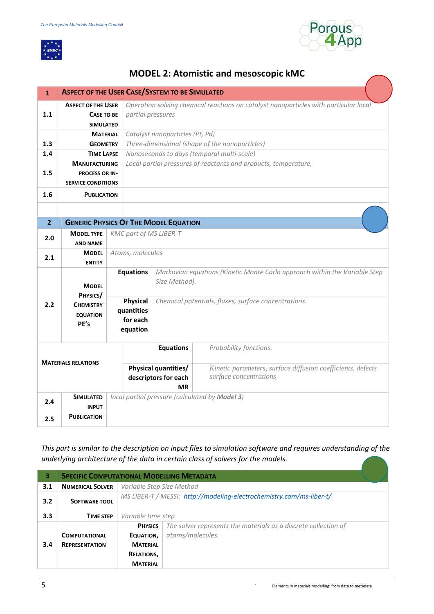



 $\overline{a}$ 

# **MODEL 2: Atomistic and mesoscopic kMC**

| $\mathbf{1}$   |                                                                                                           | <b>ASPECT OF THE USER CASE/SYSTEM TO BE SIMULATED</b> |                                                                                                           |                                                                                       |  |  |
|----------------|-----------------------------------------------------------------------------------------------------------|-------------------------------------------------------|-----------------------------------------------------------------------------------------------------------|---------------------------------------------------------------------------------------|--|--|
| 1.1            | <b>ASPECT OF THE USER</b><br><b>CASE TO BE</b><br><b>SIMULATED</b>                                        |                                                       | Operation solving chemical reactions on catalyst nanoparticles with particular local<br>partial pressures |                                                                                       |  |  |
|                | <b>MATERIAL</b>                                                                                           |                                                       | Catalyst nanoparticles (Pt, Pd)                                                                           |                                                                                       |  |  |
| 1.3            | <b>GEOMETRY</b>                                                                                           |                                                       |                                                                                                           | Three-dimensional (shape of the nanoparticles)                                        |  |  |
| 1.4            | <b>TIME LAPSE</b>                                                                                         |                                                       |                                                                                                           | Nanoseconds to days (temporal multi-scale)                                            |  |  |
|                | <b>MANUFACTURING</b>                                                                                      |                                                       |                                                                                                           | Local partial pressures of reactants and products, temperature,                       |  |  |
| 1.5            | <b>PROCESS OR IN-</b>                                                                                     |                                                       |                                                                                                           |                                                                                       |  |  |
|                | <b>SERVICE CONDITIONS</b>                                                                                 |                                                       |                                                                                                           |                                                                                       |  |  |
| 1.6            | <b>PUBLICATION</b>                                                                                        |                                                       |                                                                                                           |                                                                                       |  |  |
|                |                                                                                                           |                                                       |                                                                                                           |                                                                                       |  |  |
| 2 <sup>1</sup> |                                                                                                           |                                                       | <b>GENERIC PHYSICS OF THE MODEL EQUATION</b>                                                              |                                                                                       |  |  |
| 2.0            | <b>MODEL TYPE</b><br><b>AND NAME</b>                                                                      |                                                       | <b>KMC part of MS LIBER-T</b>                                                                             |                                                                                       |  |  |
| 2.1            | <b>MODEL</b><br><b>ENTITY</b>                                                                             |                                                       | Atoms, molecules                                                                                          |                                                                                       |  |  |
|                | <b>MODEL</b>                                                                                              | <b>Equations</b>                                      | Size Method).                                                                                             | Markovian equations (Kinetic Monte Carlo approach within the Variable Step            |  |  |
| 2.2            | PHYSICS/<br>Physical<br><b>CHEMISTRY</b><br>quantities<br><b>EQUATION</b><br>for each<br>PE's<br>equation |                                                       |                                                                                                           | Chemical potentials, fluxes, surface concentrations.                                  |  |  |
|                | <b>MATERIALS RELATIONS</b>                                                                                |                                                       | <b>Equations</b>                                                                                          | Probability functions.                                                                |  |  |
|                |                                                                                                           |                                                       | Physical quantities/<br>descriptors for each<br><b>MR</b>                                                 | Kinetic parameters, surface diffusion coefficients, defects<br>surface concentrations |  |  |
| 2.4            | <b>SIMULATED</b><br><b>INPUT</b>                                                                          |                                                       | local partial pressure (calculated by <b>Model 3)</b>                                                     |                                                                                       |  |  |
| 2.5            | <b>PUBLICATION</b>                                                                                        |                                                       |                                                                                                           |                                                                                       |  |  |

*This part is similar to the description on input files to simulation software and requires understanding of the underlying architecture of the data in certain class of solvers for the models.* 

| 3              | <b>SPECIFIC COMPUTATIONAL MODELLING METADATA</b> |                                                                      |                                                                 |  |
|----------------|--------------------------------------------------|----------------------------------------------------------------------|-----------------------------------------------------------------|--|
| 3.1            | <b>NUMERICAL SOLVER</b>                          | Variable Step Size Method                                            |                                                                 |  |
| 3.2            | <b>SOFTWARE TOOL</b>                             | MS LIBER-T / MESSI: http://modeling-electrochemistry.com/ms-liber-t/ |                                                                 |  |
| 3.3            | <b>TIME STEP</b>                                 | Variable time step                                                   |                                                                 |  |
| <b>PHYSICS</b> |                                                  |                                                                      | The solver represents the materials as a discrete collection of |  |
|                | <b>COMPUTATIONAL</b>                             | EQUATION,                                                            | atoms/molecules.                                                |  |
| 3.4            | <b>REPRESENTATION</b><br><b>MATERIAL</b>         |                                                                      |                                                                 |  |
|                |                                                  | <b>RELATIONS,</b>                                                    |                                                                 |  |
|                |                                                  | <b>MATERIAL</b>                                                      |                                                                 |  |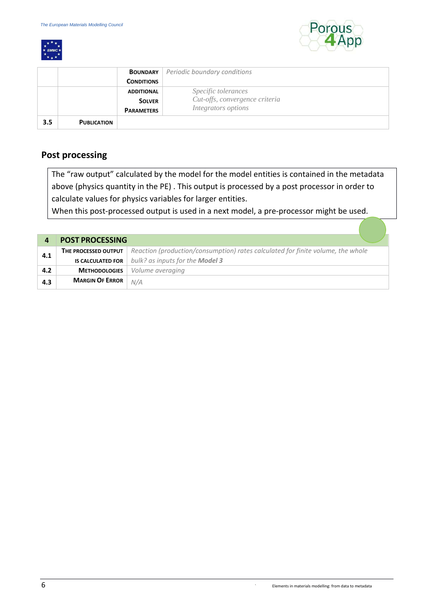



|     |                    | <b>BOUNDARY</b>   | Periodic boundary conditions   |
|-----|--------------------|-------------------|--------------------------------|
|     |                    | <b>CONDITIONS</b> |                                |
|     |                    | <b>ADDITIONAL</b> | Specific tolerances            |
|     |                    | <b>SOLVER</b>     | Cut-offs, convergence criteria |
|     |                    | <b>PARAMETERS</b> | Integrators options            |
| 3.5 | <b>PUBLICATION</b> |                   |                                |

### **Post processing**

The "raw output" calculated by the model for the model entities is contained in the metadata above (physics quantity in the PE) . This output is processed by a post processor in order to calculate values for physics variables for larger entities.

When this post-processed output is used in a next model, a pre-processor might be used.

|     | <b>POST PROCESSING</b>   |                                                                                 |
|-----|--------------------------|---------------------------------------------------------------------------------|
| 4.1 | THE PROCESSED OUTPUT     | Reaction (production/consumption) rates calculated for finite volume, the whole |
|     | <b>IS CALCULATED FOR</b> | bulk? as inputs for the <b>Model 3</b>                                          |
| 4.2 | <b>METHODOLOGIES</b>     | Volume averaging                                                                |
| 4.3 | <b>MARGIN OF ERROR</b>   | N/A                                                                             |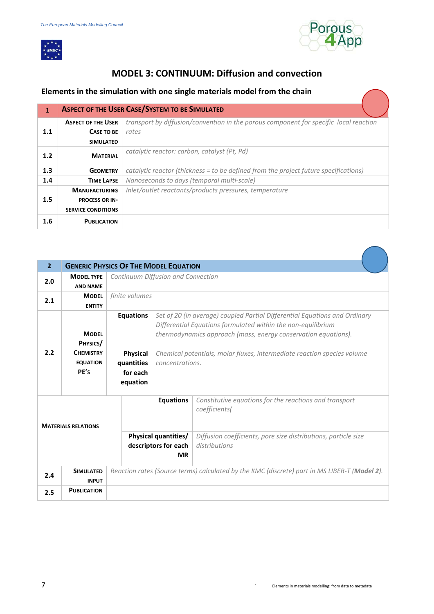$\overline{a}$ 



#### **MODEL 3: CONTINUUM: Diffusion and convection**

#### **Elements in the simulation with one single materials model from the chain**

| $\mathbf{1}$ | <b>ASPECT OF THE USER CASE/SYSTEM TO BE SIMULATED</b> |                                                                                       |  |  |
|--------------|-------------------------------------------------------|---------------------------------------------------------------------------------------|--|--|
|              | <b>ASPECT OF THE USER</b>                             | transport by diffusion/convention in the porous component for specific local reaction |  |  |
| 1.1          | CASE TO BE                                            | rates                                                                                 |  |  |
|              | <b>SIMULATED</b>                                      |                                                                                       |  |  |
| 1.2          | <b>MATERIAL</b>                                       | catalytic reactor: carbon, catalyst (Pt, Pd)                                          |  |  |
| 1.3          | <b>GEOMETRY</b>                                       | catalytic reactor (thickness = to be defined from the project future specifications)  |  |  |
| 1.4          | <b>TIME LAPSE</b>                                     | Nanoseconds to days (temporal multi-scale)                                            |  |  |
|              | <b>MANUFACTURING</b>                                  | Inlet/outlet reactants/products pressures, temperature                                |  |  |
| 1.5          | <b>PROCESS OR IN-</b>                                 |                                                                                       |  |  |
|              | <b>SERVICE CONDITIONS</b>                             |                                                                                       |  |  |
| 1.6          | <b>PUBLICATION</b>                                    |                                                                                       |  |  |

| 2 <sup>1</sup>                                 | <b>GENERIC PHYSICS OF THE MODEL EQUATION</b> |                                                                  |                                                                                            |                                                                                                                                                                                                              |  |
|------------------------------------------------|----------------------------------------------|------------------------------------------------------------------|--------------------------------------------------------------------------------------------|--------------------------------------------------------------------------------------------------------------------------------------------------------------------------------------------------------------|--|
| 2.0                                            | <b>MODEL TYPE</b><br><b>AND NAME</b>         |                                                                  | Continuum Diffusion and Convection                                                         |                                                                                                                                                                                                              |  |
| 2.1                                            | <b>MODEL</b><br><b>ENTITY</b>                | finite volumes                                                   |                                                                                            |                                                                                                                                                                                                              |  |
|                                                | <b>MODEL</b><br>PHYSICS/                     | <b>Equations</b>                                                 |                                                                                            | Set of 20 (in average) coupled Partial Differential Equations and Ordinary<br>Differential Equations formulated within the non-equilibrium<br>thermodynamics approach (mass, energy conservation equations). |  |
| 2.2                                            | <b>CHFMISTRY</b><br><b>EQUATION</b><br>PE's  | Physical<br>quantities<br>for each<br>equation                   | Chemical potentials, molar fluxes, intermediate reaction species volume<br>concentrations. |                                                                                                                                                                                                              |  |
| <b>Equations</b><br><b>MATERIALS RELATIONS</b> |                                              |                                                                  |                                                                                            | Constitutive equations for the reactions and transport<br>coefficients(                                                                                                                                      |  |
|                                                |                                              | <b>Physical quantities/</b><br>descriptors for each<br><b>MR</b> |                                                                                            | Diffusion coefficients, pore size distributions, particle size<br>distributions                                                                                                                              |  |
| 2.4                                            | <b>SIMULATED</b><br><b>INPUT</b>             |                                                                  |                                                                                            | Reaction rates (Source terms) calculated by the KMC (discrete) part in MS LIBER-T (Model 2).                                                                                                                 |  |
| 2.5                                            | <b>PUBLICATION</b>                           |                                                                  |                                                                                            |                                                                                                                                                                                                              |  |